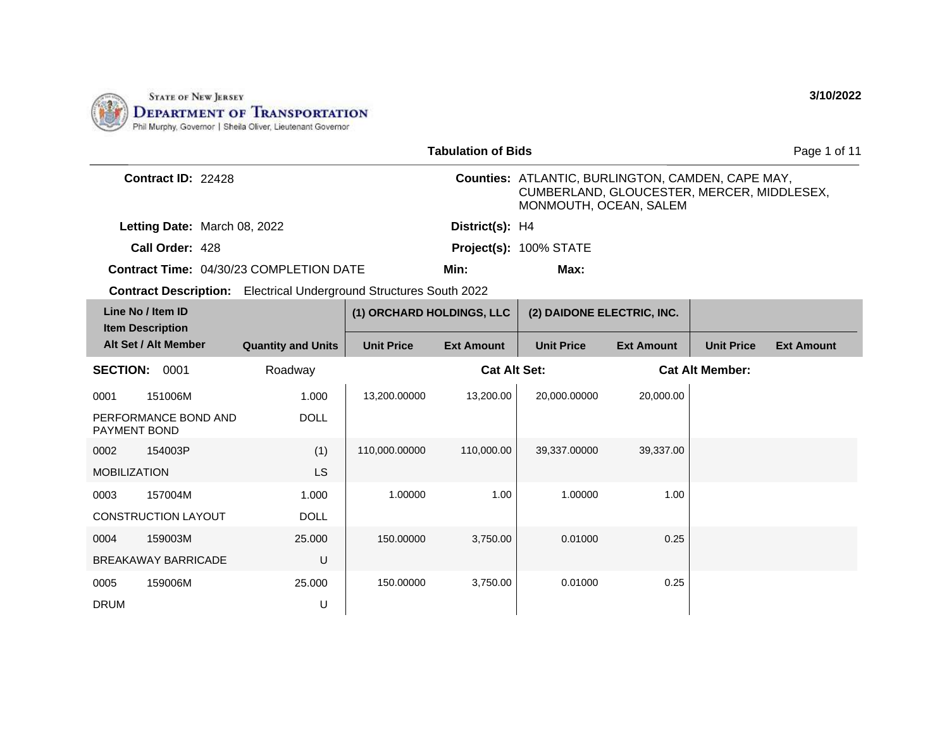

|                                                                           |                           |                           | <b>Tabulation of Bids</b> |                                                                                                                                  |                   |                        | Page 1 of 11      |
|---------------------------------------------------------------------------|---------------------------|---------------------------|---------------------------|----------------------------------------------------------------------------------------------------------------------------------|-------------------|------------------------|-------------------|
| Contract ID: 22428                                                        |                           |                           |                           | <b>Counties: ATLANTIC, BURLINGTON, CAMDEN, CAPE MAY,</b><br>CUMBERLAND, GLOUCESTER, MERCER, MIDDLESEX,<br>MONMOUTH, OCEAN, SALEM |                   |                        |                   |
| Letting Date: March 08, 2022                                              |                           |                           | District(s): H4           |                                                                                                                                  |                   |                        |                   |
| Call Order: 428                                                           |                           |                           |                           | Project(s): 100% STATE                                                                                                           |                   |                        |                   |
| <b>Contract Time: 04/30/23 COMPLETION DATE</b>                            |                           |                           | Min:                      | Max:                                                                                                                             |                   |                        |                   |
| <b>Contract Description:</b> Electrical Underground Structures South 2022 |                           |                           |                           |                                                                                                                                  |                   |                        |                   |
| Line No / Item ID<br><b>Item Description</b>                              |                           | (1) ORCHARD HOLDINGS, LLC |                           | (2) DAIDONE ELECTRIC, INC.                                                                                                       |                   |                        |                   |
| Alt Set / Alt Member                                                      | <b>Quantity and Units</b> | <b>Unit Price</b>         | <b>Ext Amount</b>         | <b>Unit Price</b>                                                                                                                | <b>Ext Amount</b> | <b>Unit Price</b>      | <b>Ext Amount</b> |
| <b>SECTION: 0001</b>                                                      | Roadway                   |                           | <b>Cat Alt Set:</b>       |                                                                                                                                  |                   | <b>Cat Alt Member:</b> |                   |
| 151006M<br>0001                                                           | 1.000                     | 13,200.00000              | 13,200.00                 | 20,000.00000                                                                                                                     | 20,000.00         |                        |                   |
| PERFORMANCE BOND AND<br>PAYMENT BOND                                      | <b>DOLL</b>               |                           |                           |                                                                                                                                  |                   |                        |                   |
| 0002<br>154003P                                                           | (1)                       | 110,000.00000             | 110,000.00                | 39,337.00000                                                                                                                     | 39,337.00         |                        |                   |
| <b>MOBILIZATION</b>                                                       | LS                        |                           |                           |                                                                                                                                  |                   |                        |                   |
| 0003<br>157004M                                                           | 1.000                     | 1.00000                   | 1.00                      | 1.00000                                                                                                                          | 1.00              |                        |                   |
| <b>CONSTRUCTION LAYOUT</b>                                                | <b>DOLL</b>               |                           |                           |                                                                                                                                  |                   |                        |                   |
| 159003M<br>0004                                                           | 25.000                    | 150.00000                 | 3,750.00                  | 0.01000                                                                                                                          | 0.25              |                        |                   |
| <b>BREAKAWAY BARRICADE</b>                                                | U                         |                           |                           |                                                                                                                                  |                   |                        |                   |
| 159006M<br>0005                                                           | 25.000                    | 150.00000                 | 3,750.00                  | 0.01000                                                                                                                          | 0.25              |                        |                   |
| <b>DRUM</b>                                                               | U                         |                           |                           |                                                                                                                                  |                   |                        |                   |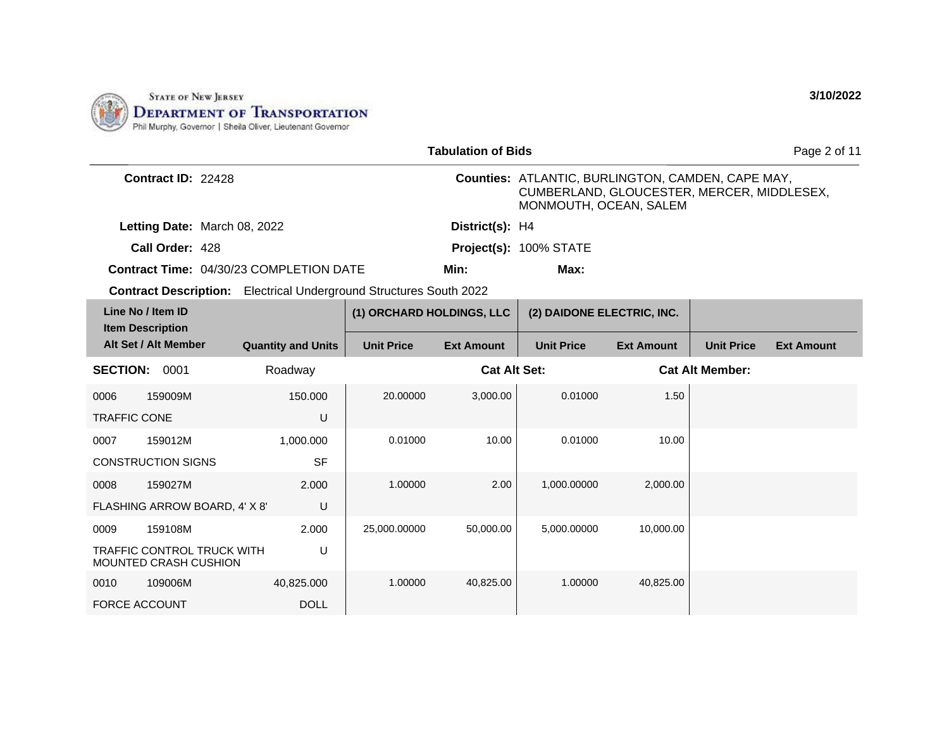

|                                              |                                                                           |                           |                           | <b>Tabulation of Bids</b> |                                                                                                                                  |                   |                        | Page 2 of 11      |
|----------------------------------------------|---------------------------------------------------------------------------|---------------------------|---------------------------|---------------------------|----------------------------------------------------------------------------------------------------------------------------------|-------------------|------------------------|-------------------|
|                                              | Contract ID: 22428                                                        |                           |                           |                           | <b>Counties: ATLANTIC, BURLINGTON, CAMDEN, CAPE MAY,</b><br>CUMBERLAND, GLOUCESTER, MERCER, MIDDLESEX,<br>MONMOUTH, OCEAN, SALEM |                   |                        |                   |
|                                              | Letting Date: March 08, 2022                                              |                           |                           | District(s): H4           |                                                                                                                                  |                   |                        |                   |
|                                              | Call Order: 428                                                           |                           |                           |                           | Project(s): 100% STATE                                                                                                           |                   |                        |                   |
|                                              | <b>Contract Time: 04/30/23 COMPLETION DATE</b>                            |                           |                           | Min:                      | Max:                                                                                                                             |                   |                        |                   |
|                                              | <b>Contract Description:</b> Electrical Underground Structures South 2022 |                           |                           |                           |                                                                                                                                  |                   |                        |                   |
| Line No / Item ID<br><b>Item Description</b> |                                                                           |                           | (1) ORCHARD HOLDINGS, LLC |                           | (2) DAIDONE ELECTRIC, INC.                                                                                                       |                   |                        |                   |
| Alt Set / Alt Member                         |                                                                           | <b>Quantity and Units</b> | <b>Unit Price</b>         | <b>Ext Amount</b>         | <b>Unit Price</b>                                                                                                                | <b>Ext Amount</b> | <b>Unit Price</b>      | <b>Ext Amount</b> |
| <b>SECTION: 0001</b>                         |                                                                           | Roadway                   |                           | <b>Cat Alt Set:</b>       |                                                                                                                                  |                   | <b>Cat Alt Member:</b> |                   |
| 0006                                         | 159009M                                                                   | 150.000                   | 20.00000                  | 3,000.00                  | 0.01000                                                                                                                          | 1.50              |                        |                   |
| <b>TRAFFIC CONE</b>                          |                                                                           | U                         |                           |                           |                                                                                                                                  |                   |                        |                   |
| 0007                                         | 159012M                                                                   | 1,000.000                 | 0.01000                   | 10.00                     | 0.01000                                                                                                                          | 10.00             |                        |                   |
| <b>CONSTRUCTION SIGNS</b>                    |                                                                           | <b>SF</b>                 |                           |                           |                                                                                                                                  |                   |                        |                   |
| 0008                                         | 159027M                                                                   | 2.000                     | 1.00000                   | 2.00                      | 1,000.00000                                                                                                                      | 2,000.00          |                        |                   |
|                                              | FLASHING ARROW BOARD, 4' X 8'                                             | U                         |                           |                           |                                                                                                                                  |                   |                        |                   |
| 0009                                         | 159108M                                                                   | 2.000                     | 25,000.00000              | 50,000.00                 | 5,000.00000                                                                                                                      | 10,000.00         |                        |                   |
| MOUNTED CRASH CUSHION                        | <b>TRAFFIC CONTROL TRUCK WITH</b>                                         | U                         |                           |                           |                                                                                                                                  |                   |                        |                   |
| 0010                                         | 109006M                                                                   | 40,825.000                | 1.00000                   | 40,825.00                 | 1.00000                                                                                                                          | 40,825.00         |                        |                   |
| <b>FORCE ACCOUNT</b>                         |                                                                           | <b>DOLL</b>               |                           |                           |                                                                                                                                  |                   |                        |                   |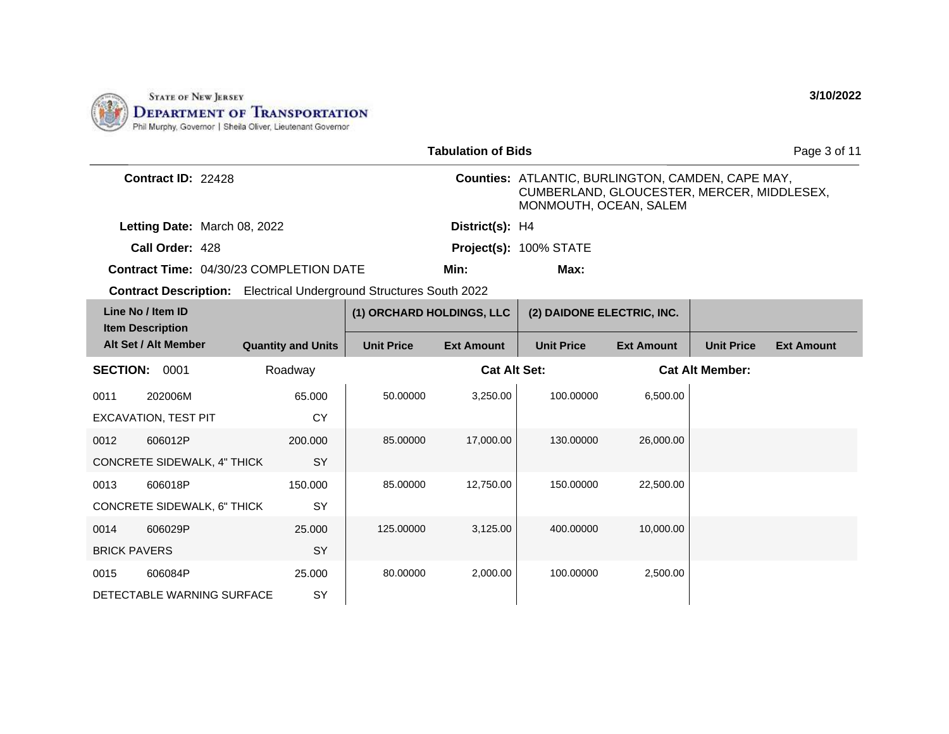

|                                              |                              |                                                                           |                           | <b>Tabulation of Bids</b> |                                                                                                                           |                   |                        | Page 3 of 11      |
|----------------------------------------------|------------------------------|---------------------------------------------------------------------------|---------------------------|---------------------------|---------------------------------------------------------------------------------------------------------------------------|-------------------|------------------------|-------------------|
|                                              | Contract ID: 22428           |                                                                           |                           |                           | Counties: ATLANTIC, BURLINGTON, CAMDEN, CAPE MAY,<br>CUMBERLAND, GLOUCESTER, MERCER, MIDDLESEX,<br>MONMOUTH, OCEAN, SALEM |                   |                        |                   |
|                                              | Letting Date: March 08, 2022 |                                                                           |                           | District(s): H4           |                                                                                                                           |                   |                        |                   |
|                                              | Call Order: 428              |                                                                           |                           |                           | Project(s): 100% STATE                                                                                                    |                   |                        |                   |
|                                              |                              | <b>Contract Time: 04/30/23 COMPLETION DATE</b>                            |                           | Min:                      | Max:                                                                                                                      |                   |                        |                   |
|                                              |                              | <b>Contract Description:</b> Electrical Underground Structures South 2022 |                           |                           |                                                                                                                           |                   |                        |                   |
| Line No / Item ID<br><b>Item Description</b> |                              |                                                                           | (1) ORCHARD HOLDINGS, LLC |                           | (2) DAIDONE ELECTRIC, INC.                                                                                                |                   |                        |                   |
| Alt Set / Alt Member                         |                              | <b>Quantity and Units</b>                                                 | <b>Unit Price</b>         | <b>Ext Amount</b>         | <b>Unit Price</b>                                                                                                         | <b>Ext Amount</b> | <b>Unit Price</b>      | <b>Ext Amount</b> |
| <b>SECTION:</b>                              | 0001                         | Roadway                                                                   |                           | <b>Cat Alt Set:</b>       |                                                                                                                           |                   | <b>Cat Alt Member:</b> |                   |
| 202006M<br>0011                              |                              | 65.000                                                                    | 50.00000                  | 3,250.00                  | 100.00000                                                                                                                 | 6.500.00          |                        |                   |
| <b>EXCAVATION, TEST PIT</b>                  |                              | <b>CY</b>                                                                 |                           |                           |                                                                                                                           |                   |                        |                   |
| 606012P<br>0012                              |                              | 200.000                                                                   | 85.00000                  | 17,000.00                 | 130.00000                                                                                                                 | 26,000.00         |                        |                   |
| CONCRETE SIDEWALK, 4" THICK                  |                              | SY                                                                        |                           |                           |                                                                                                                           |                   |                        |                   |
| 606018P<br>0013                              |                              | 150.000                                                                   | 85.00000                  | 12.750.00                 | 150.00000                                                                                                                 | 22,500.00         |                        |                   |
| CONCRETE SIDEWALK, 6" THICK                  |                              | SY                                                                        |                           |                           |                                                                                                                           |                   |                        |                   |
| 0014<br>606029P                              |                              | 25,000                                                                    | 125.00000                 | 3,125.00                  | 400.00000                                                                                                                 | 10,000.00         |                        |                   |
| <b>BRICK PAVERS</b>                          |                              | SY                                                                        |                           |                           |                                                                                                                           |                   |                        |                   |
| 606084P<br>0015                              |                              | 25,000                                                                    | 80.00000                  | 2,000.00                  | 100.00000                                                                                                                 | 2,500.00          |                        |                   |
| DETECTABLE WARNING SURFACE                   |                              | SY                                                                        |                           |                           |                                                                                                                           |                   |                        |                   |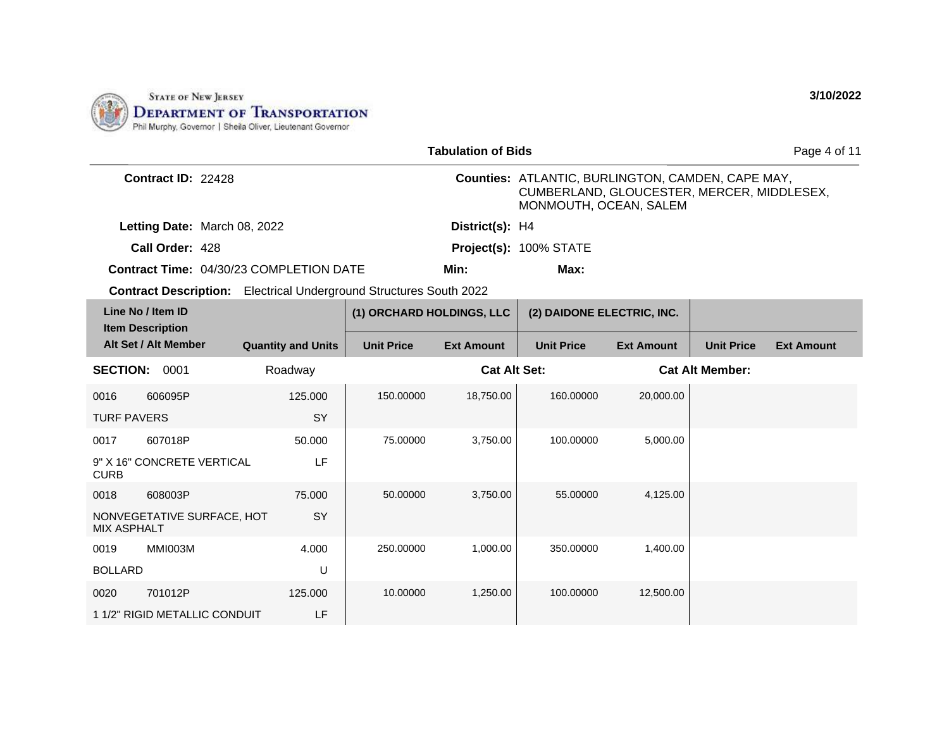

|                                                  |                                                                           |                   | <b>Tabulation of Bids</b> |                                                                                                                           |                   |                        | Page 4 of 11      |
|--------------------------------------------------|---------------------------------------------------------------------------|-------------------|---------------------------|---------------------------------------------------------------------------------------------------------------------------|-------------------|------------------------|-------------------|
| Contract ID: 22428                               |                                                                           |                   |                           | Counties: ATLANTIC, BURLINGTON, CAMDEN, CAPE MAY,<br>CUMBERLAND, GLOUCESTER, MERCER, MIDDLESEX,<br>MONMOUTH, OCEAN, SALEM |                   |                        |                   |
|                                                  | Letting Date: March 08, 2022                                              |                   | District(s): H4           |                                                                                                                           |                   |                        |                   |
| Call Order: 428                                  |                                                                           |                   |                           | Project(s): 100% STATE                                                                                                    |                   |                        |                   |
|                                                  | Contract Time: 04/30/23 COMPLETION DATE                                   |                   | Min:                      | Max:                                                                                                                      |                   |                        |                   |
|                                                  | <b>Contract Description:</b> Electrical Underground Structures South 2022 |                   |                           |                                                                                                                           |                   |                        |                   |
| Line No / Item ID<br><b>Item Description</b>     |                                                                           |                   | (1) ORCHARD HOLDINGS, LLC | (2) DAIDONE ELECTRIC, INC.                                                                                                |                   |                        |                   |
| Alt Set / Alt Member                             | <b>Quantity and Units</b>                                                 | <b>Unit Price</b> | <b>Ext Amount</b>         | <b>Unit Price</b>                                                                                                         | <b>Ext Amount</b> | <b>Unit Price</b>      | <b>Ext Amount</b> |
| <b>SECTION:</b><br>0001                          | Roadway                                                                   |                   | <b>Cat Alt Set:</b>       |                                                                                                                           |                   | <b>Cat Alt Member:</b> |                   |
| 606095P<br>0016                                  | 125.000                                                                   | 150.00000         | 18,750.00                 | 160.00000                                                                                                                 | 20,000.00         |                        |                   |
| <b>TURF PAVERS</b>                               | <b>SY</b>                                                                 |                   |                           |                                                                                                                           |                   |                        |                   |
| 607018P<br>0017                                  | 50,000                                                                    | 75.00000          | 3,750.00                  | 100.00000                                                                                                                 | 5,000.00          |                        |                   |
| 9" X 16" CONCRETE VERTICAL<br><b>CURB</b>        | LF                                                                        |                   |                           |                                                                                                                           |                   |                        |                   |
| 0018<br>608003P                                  | 75.000                                                                    | 50.00000          | 3,750.00                  | 55.00000                                                                                                                  | 4,125.00          |                        |                   |
| NONVEGETATIVE SURFACE, HOT<br><b>MIX ASPHALT</b> | <b>SY</b>                                                                 |                   |                           |                                                                                                                           |                   |                        |                   |
| MMI003M<br>0019                                  | 4.000                                                                     | 250.00000         | 1,000.00                  | 350.00000                                                                                                                 | 1,400.00          |                        |                   |
| <b>BOLLARD</b>                                   | U                                                                         |                   |                           |                                                                                                                           |                   |                        |                   |
| 701012P<br>0020                                  | 125.000                                                                   | 10.00000          | 1,250.00                  | 100.00000                                                                                                                 | 12,500.00         |                        |                   |
| 1 1/2" RIGID METALLIC CONDUIT                    | LF                                                                        |                   |                           |                                                                                                                           |                   |                        |                   |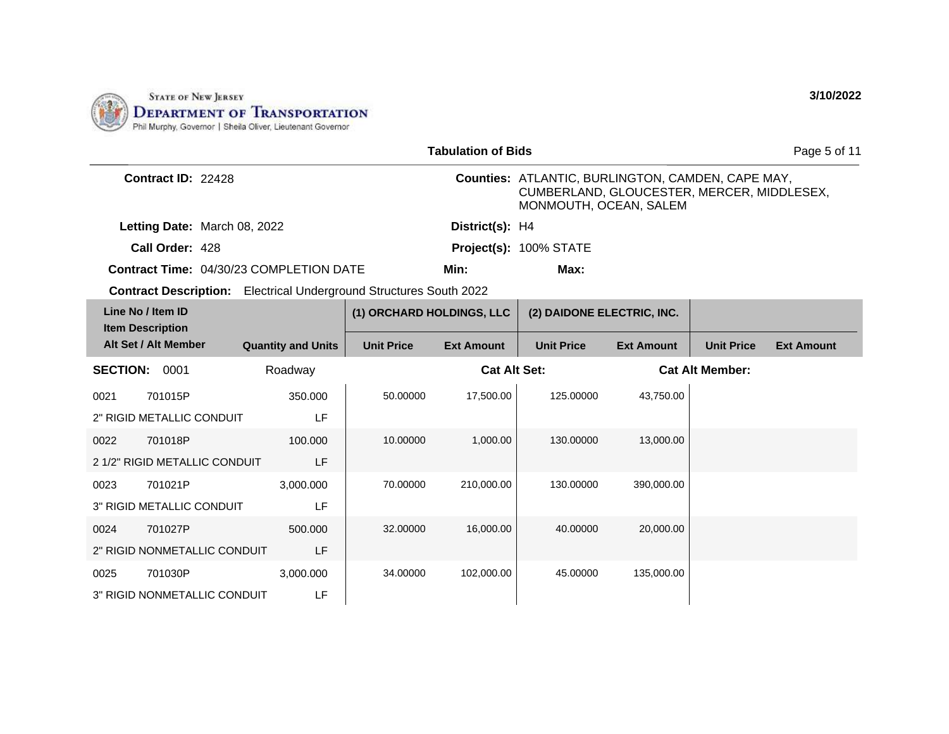

|                 |                                              |                                                                           |                           | <b>Tabulation of Bids</b> |                                                                                                                           |                   |                        | Page 5 of 11      |
|-----------------|----------------------------------------------|---------------------------------------------------------------------------|---------------------------|---------------------------|---------------------------------------------------------------------------------------------------------------------------|-------------------|------------------------|-------------------|
|                 | Contract ID: 22428                           |                                                                           |                           |                           | Counties: ATLANTIC, BURLINGTON, CAMDEN, CAPE MAY,<br>CUMBERLAND, GLOUCESTER, MERCER, MIDDLESEX,<br>MONMOUTH, OCEAN, SALEM |                   |                        |                   |
|                 | Letting Date: March 08, 2022                 |                                                                           |                           | District(s): H4           |                                                                                                                           |                   |                        |                   |
|                 | Call Order: 428                              |                                                                           |                           |                           | Project(s): 100% STATE                                                                                                    |                   |                        |                   |
|                 |                                              | <b>Contract Time: 04/30/23 COMPLETION DATE</b>                            |                           | Min:                      | Max:                                                                                                                      |                   |                        |                   |
|                 |                                              | <b>Contract Description:</b> Electrical Underground Structures South 2022 |                           |                           |                                                                                                                           |                   |                        |                   |
|                 | Line No / Item ID<br><b>Item Description</b> |                                                                           | (1) ORCHARD HOLDINGS, LLC |                           | (2) DAIDONE ELECTRIC, INC.                                                                                                |                   |                        |                   |
|                 | Alt Set / Alt Member                         | <b>Quantity and Units</b>                                                 | <b>Unit Price</b>         | <b>Ext Amount</b>         | <b>Unit Price</b>                                                                                                         | <b>Ext Amount</b> | <b>Unit Price</b>      | <b>Ext Amount</b> |
| <b>SECTION:</b> | 0001                                         | Roadway                                                                   |                           | <b>Cat Alt Set:</b>       |                                                                                                                           |                   | <b>Cat Alt Member:</b> |                   |
| 0021            | 701015P                                      | 350.000                                                                   | 50.00000                  | 17,500.00                 | 125.00000                                                                                                                 | 43,750.00         |                        |                   |
|                 | 2" RIGID METALLIC CONDUIT                    | LF                                                                        |                           |                           |                                                                                                                           |                   |                        |                   |
| 0022            | 701018P                                      | 100.000                                                                   | 10.00000                  | 1,000.00                  | 130.00000                                                                                                                 | 13,000.00         |                        |                   |
|                 | 2 1/2" RIGID METALLIC CONDUIT                | LF                                                                        |                           |                           |                                                                                                                           |                   |                        |                   |
| 0023            | 701021P                                      | 3,000.000                                                                 | 70.00000                  | 210,000.00                | 130.00000                                                                                                                 | 390,000.00        |                        |                   |
|                 | 3" RIGID METALLIC CONDUIT                    | LF                                                                        |                           |                           |                                                                                                                           |                   |                        |                   |
| 0024            | 701027P                                      | 500.000                                                                   | 32.00000                  | 16,000.00                 | 40.00000                                                                                                                  | 20,000.00         |                        |                   |
|                 | 2" RIGID NONMETALLIC CONDUIT                 | LF                                                                        |                           |                           |                                                                                                                           |                   |                        |                   |
| 0025            | 701030P                                      | 3,000.000                                                                 | 34.00000                  | 102,000.00                | 45.00000                                                                                                                  | 135,000.00        |                        |                   |
|                 | <b>3" RIGID NONMETALLIC CONDUIT</b>          | LF                                                                        |                           |                           |                                                                                                                           |                   |                        |                   |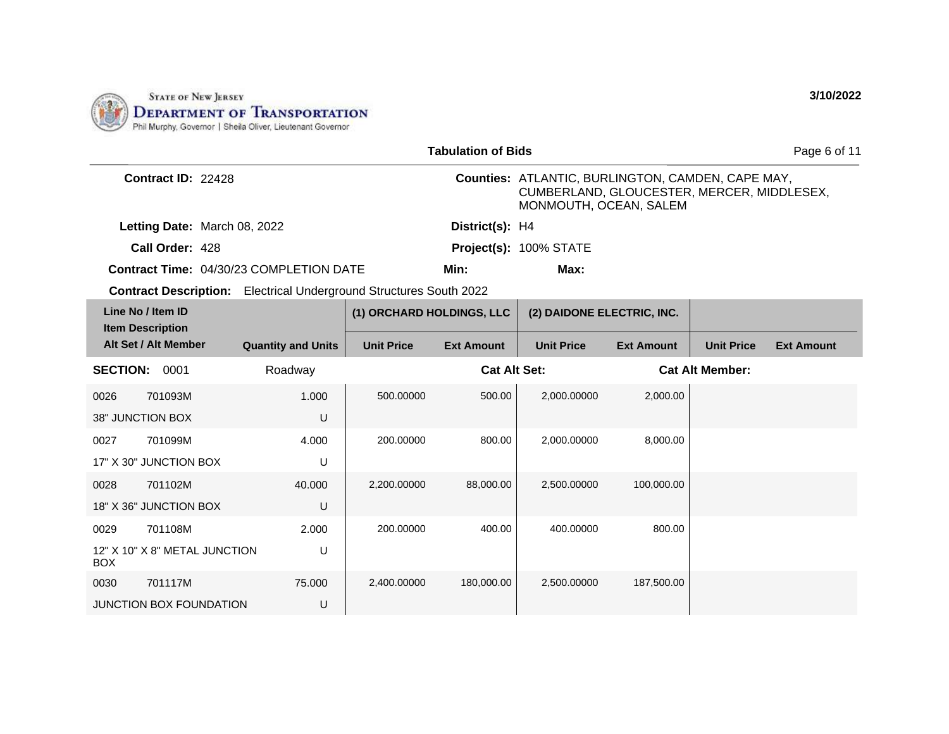

|                                              |                                                                           |                           | <b>Tabulation of Bids</b> |                                                                                                                           |                   |                        | Page 6 of 11      |
|----------------------------------------------|---------------------------------------------------------------------------|---------------------------|---------------------------|---------------------------------------------------------------------------------------------------------------------------|-------------------|------------------------|-------------------|
| Contract ID: 22428                           |                                                                           |                           |                           | Counties: ATLANTIC, BURLINGTON, CAMDEN, CAPE MAY,<br>CUMBERLAND, GLOUCESTER, MERCER, MIDDLESEX,<br>MONMOUTH, OCEAN, SALEM |                   |                        |                   |
|                                              | Letting Date: March 08, 2022                                              |                           | District(s): H4           |                                                                                                                           |                   |                        |                   |
| Call Order: 428                              |                                                                           |                           |                           | Project(s): 100% STATE                                                                                                    |                   |                        |                   |
|                                              | <b>Contract Time: 04/30/23 COMPLETION DATE</b>                            |                           | Min:                      | Max:                                                                                                                      |                   |                        |                   |
|                                              | <b>Contract Description:</b> Electrical Underground Structures South 2022 |                           |                           |                                                                                                                           |                   |                        |                   |
| Line No / Item ID<br><b>Item Description</b> |                                                                           | (1) ORCHARD HOLDINGS, LLC |                           | (2) DAIDONE ELECTRIC, INC.                                                                                                |                   |                        |                   |
| Alt Set / Alt Member                         | <b>Quantity and Units</b>                                                 | <b>Unit Price</b>         | <b>Ext Amount</b>         | <b>Unit Price</b>                                                                                                         | <b>Ext Amount</b> | <b>Unit Price</b>      | <b>Ext Amount</b> |
| <b>SECTION: 0001</b>                         | Roadway                                                                   |                           | <b>Cat Alt Set:</b>       |                                                                                                                           |                   | <b>Cat Alt Member:</b> |                   |
| 701093M<br>0026                              | 1.000                                                                     | 500.00000                 | 500.00                    | 2,000.00000                                                                                                               | 2,000.00          |                        |                   |
| 38" JUNCTION BOX                             | U                                                                         |                           |                           |                                                                                                                           |                   |                        |                   |
| 701099M<br>0027                              | 4.000                                                                     | 200.00000                 | 800.00                    | 2,000.00000                                                                                                               | 8,000.00          |                        |                   |
| 17" X 30" JUNCTION BOX                       | U                                                                         |                           |                           |                                                                                                                           |                   |                        |                   |
| 0028<br>701102M                              | 40.000                                                                    | 2,200.00000               | 88,000.00                 | 2,500.00000                                                                                                               | 100,000.00        |                        |                   |
| 18" X 36" JUNCTION BOX                       | U                                                                         |                           |                           |                                                                                                                           |                   |                        |                   |
| 0029<br>701108M                              | 2.000                                                                     | 200.00000                 | 400.00                    | 400.00000                                                                                                                 | 800.00            |                        |                   |
| 12" X 10" X 8" METAL JUNCTION<br><b>BOX</b>  | U                                                                         |                           |                           |                                                                                                                           |                   |                        |                   |
| 701117M<br>0030                              | 75,000                                                                    | 2,400.00000               | 180,000.00                | 2,500.00000                                                                                                               | 187,500.00        |                        |                   |
| <b>JUNCTION BOX FOUNDATION</b>               | U                                                                         |                           |                           |                                                                                                                           |                   |                        |                   |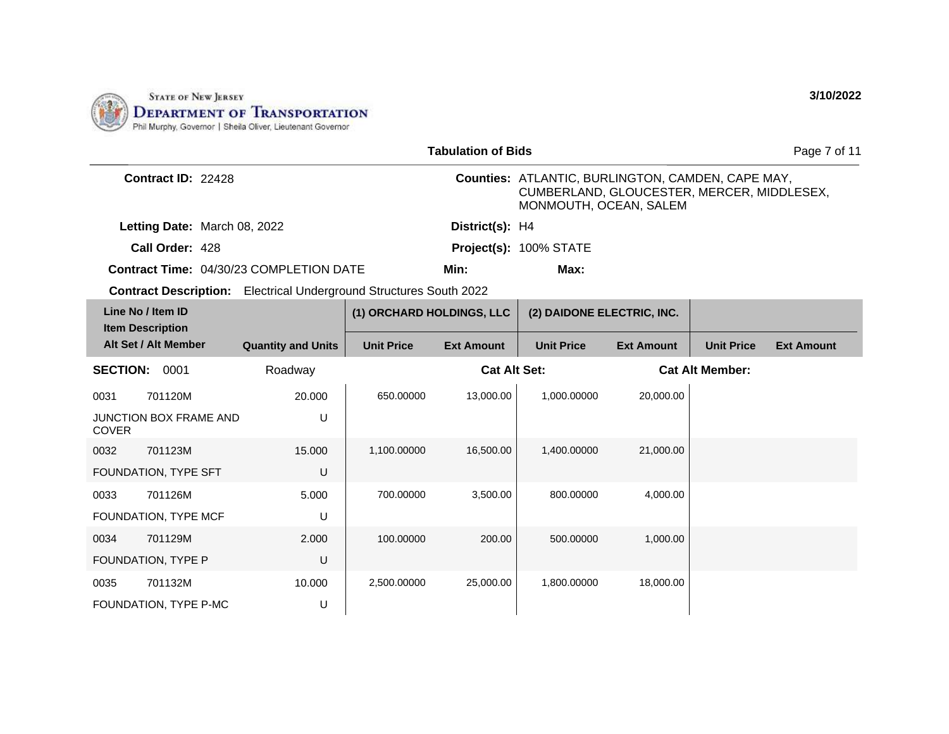

|                                                                           |                           |                           | <b>Tabulation of Bids</b> |                                                                                                                                  |                   |                        | Page 7 of 11      |
|---------------------------------------------------------------------------|---------------------------|---------------------------|---------------------------|----------------------------------------------------------------------------------------------------------------------------------|-------------------|------------------------|-------------------|
| Contract ID: 22428                                                        |                           |                           |                           | <b>Counties: ATLANTIC, BURLINGTON, CAMDEN, CAPE MAY,</b><br>CUMBERLAND, GLOUCESTER, MERCER, MIDDLESEX,<br>MONMOUTH, OCEAN, SALEM |                   |                        |                   |
| Letting Date: March 08, 2022                                              |                           |                           | District(s): H4           |                                                                                                                                  |                   |                        |                   |
| Call Order: 428                                                           |                           |                           |                           | Project(s): 100% STATE                                                                                                           |                   |                        |                   |
| <b>Contract Time: 04/30/23 COMPLETION DATE</b>                            |                           |                           | Min:                      | Max:                                                                                                                             |                   |                        |                   |
| <b>Contract Description:</b> Electrical Underground Structures South 2022 |                           |                           |                           |                                                                                                                                  |                   |                        |                   |
| Line No / Item ID<br><b>Item Description</b>                              |                           | (1) ORCHARD HOLDINGS, LLC |                           | (2) DAIDONE ELECTRIC, INC.                                                                                                       |                   |                        |                   |
| Alt Set / Alt Member                                                      | <b>Quantity and Units</b> | <b>Unit Price</b>         | <b>Ext Amount</b>         | <b>Unit Price</b>                                                                                                                | <b>Ext Amount</b> | <b>Unit Price</b>      | <b>Ext Amount</b> |
| <b>SECTION: 0001</b>                                                      | Roadway                   |                           | <b>Cat Alt Set:</b>       |                                                                                                                                  |                   | <b>Cat Alt Member:</b> |                   |
| 0031<br>701120M                                                           | 20.000                    | 650.00000                 | 13,000.00                 | 1.000.00000                                                                                                                      | 20,000.00         |                        |                   |
| <b>JUNCTION BOX FRAME AND</b><br><b>COVER</b>                             | U                         |                           |                           |                                                                                                                                  |                   |                        |                   |
| 0032<br>701123M                                                           | 15.000                    | 1,100.00000               | 16,500.00                 | 1,400.00000                                                                                                                      | 21,000.00         |                        |                   |
| FOUNDATION, TYPE SFT                                                      | U                         |                           |                           |                                                                                                                                  |                   |                        |                   |
| 701126M<br>0033                                                           | 5.000                     | 700.00000                 | 3,500.00                  | 800.00000                                                                                                                        | 4.000.00          |                        |                   |
| FOUNDATION, TYPE MCF                                                      | U                         |                           |                           |                                                                                                                                  |                   |                        |                   |
| 701129M<br>0034                                                           | 2.000                     | 100.00000                 | 200.00                    | 500.00000                                                                                                                        | 1,000.00          |                        |                   |
| FOUNDATION, TYPE P                                                        | U                         |                           |                           |                                                                                                                                  |                   |                        |                   |
| 701132M<br>0035                                                           | 10.000                    | 2,500.00000               | 25,000.00                 | 1,800.00000                                                                                                                      | 18,000.00         |                        |                   |
| FOUNDATION, TYPE P-MC                                                     | U                         |                           |                           |                                                                                                                                  |                   |                        |                   |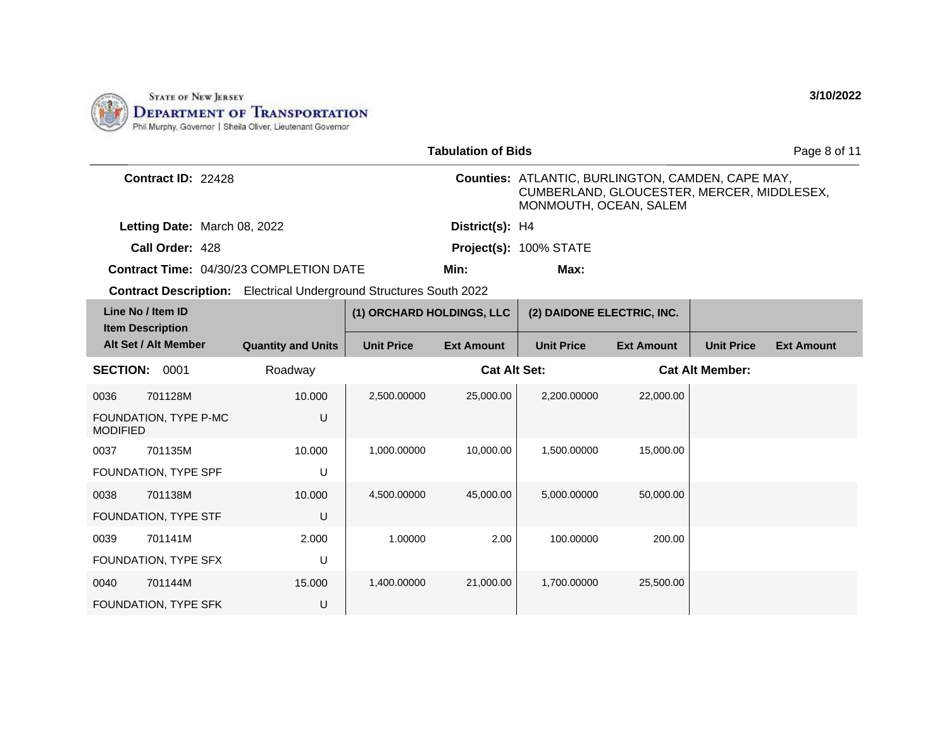

|                                              |                                                                           |                           | <b>Tabulation of Bids</b> |                                                                                                                                  |                   |                        | Page 8 of 11      |
|----------------------------------------------|---------------------------------------------------------------------------|---------------------------|---------------------------|----------------------------------------------------------------------------------------------------------------------------------|-------------------|------------------------|-------------------|
| Contract ID: 22428                           |                                                                           |                           |                           | <b>Counties: ATLANTIC, BURLINGTON, CAMDEN, CAPE MAY,</b><br>CUMBERLAND, GLOUCESTER, MERCER, MIDDLESEX,<br>MONMOUTH, OCEAN, SALEM |                   |                        |                   |
| Letting Date: March 08, 2022                 |                                                                           |                           | District(s): H4           |                                                                                                                                  |                   |                        |                   |
| Call Order: 428                              |                                                                           |                           |                           | Project(s): 100% STATE                                                                                                           |                   |                        |                   |
|                                              | <b>Contract Time: 04/30/23 COMPLETION DATE</b>                            |                           | Min:                      | Max:                                                                                                                             |                   |                        |                   |
|                                              | <b>Contract Description:</b> Electrical Underground Structures South 2022 |                           |                           |                                                                                                                                  |                   |                        |                   |
| Line No / Item ID<br><b>Item Description</b> |                                                                           | (1) ORCHARD HOLDINGS, LLC |                           | (2) DAIDONE ELECTRIC, INC.                                                                                                       |                   |                        |                   |
| Alt Set / Alt Member                         | <b>Quantity and Units</b>                                                 | <b>Unit Price</b>         | <b>Ext Amount</b>         | <b>Unit Price</b>                                                                                                                | <b>Ext Amount</b> | <b>Unit Price</b>      | <b>Ext Amount</b> |
| <b>SECTION: 0001</b>                         | Roadway                                                                   |                           | <b>Cat Alt Set:</b>       |                                                                                                                                  |                   | <b>Cat Alt Member:</b> |                   |
| 0036<br>701128M                              | 10.000                                                                    | 2,500.00000               | 25,000.00                 | 2.200.00000                                                                                                                      | 22,000.00         |                        |                   |
| FOUNDATION, TYPE P-MC<br><b>MODIFIED</b>     | U                                                                         |                           |                           |                                                                                                                                  |                   |                        |                   |
| 701135M<br>0037                              | 10.000                                                                    | 1,000.00000               | 10,000.00                 | 1,500.00000                                                                                                                      | 15,000.00         |                        |                   |
| FOUNDATION, TYPE SPF                         | U                                                                         |                           |                           |                                                                                                                                  |                   |                        |                   |
| 701138M<br>0038                              | 10.000                                                                    | 4,500.00000               | 45,000.00                 | 5,000.00000                                                                                                                      | 50,000.00         |                        |                   |
| FOUNDATION, TYPE STF                         | U                                                                         |                           |                           |                                                                                                                                  |                   |                        |                   |
| 701141M<br>0039                              | 2.000                                                                     | 1.00000                   | 2.00                      | 100.00000                                                                                                                        | 200.00            |                        |                   |
| FOUNDATION, TYPE SFX                         | U                                                                         |                           |                           |                                                                                                                                  |                   |                        |                   |
| 701144M<br>0040                              | 15.000                                                                    | 1,400.00000               | 21,000.00                 | 1,700.00000                                                                                                                      | 25,500.00         |                        |                   |
| FOUNDATION, TYPE SFK                         | U                                                                         |                           |                           |                                                                                                                                  |                   |                        |                   |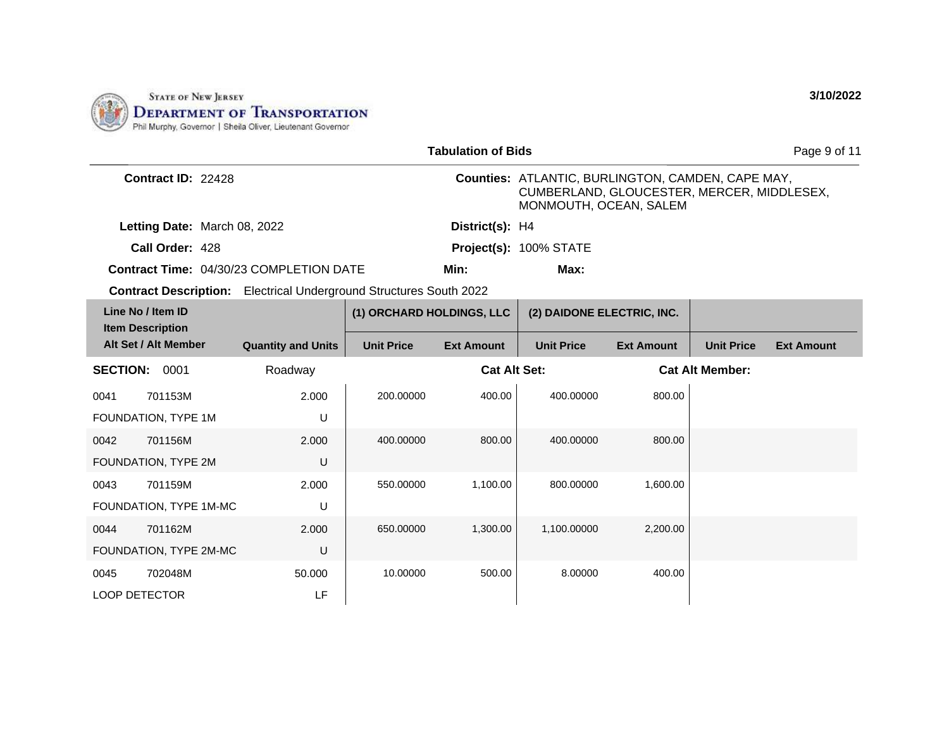

|                                              |                              |                                                                           |                           | <b>Tabulation of Bids</b> |                                                                                                                           |                   |                        | Page 9 of 11      |
|----------------------------------------------|------------------------------|---------------------------------------------------------------------------|---------------------------|---------------------------|---------------------------------------------------------------------------------------------------------------------------|-------------------|------------------------|-------------------|
|                                              | Contract ID: 22428           |                                                                           |                           |                           | Counties: ATLANTIC, BURLINGTON, CAMDEN, CAPE MAY,<br>CUMBERLAND, GLOUCESTER, MERCER, MIDDLESEX,<br>MONMOUTH, OCEAN, SALEM |                   |                        |                   |
|                                              | Letting Date: March 08, 2022 |                                                                           |                           | District(s): H4           |                                                                                                                           |                   |                        |                   |
|                                              | Call Order: 428              |                                                                           |                           |                           | Project(s): 100% STATE                                                                                                    |                   |                        |                   |
|                                              |                              | <b>Contract Time: 04/30/23 COMPLETION DATE</b>                            |                           | Min:                      | Max:                                                                                                                      |                   |                        |                   |
|                                              |                              | <b>Contract Description:</b> Electrical Underground Structures South 2022 |                           |                           |                                                                                                                           |                   |                        |                   |
| Line No / Item ID<br><b>Item Description</b> |                              |                                                                           | (1) ORCHARD HOLDINGS, LLC |                           | (2) DAIDONE ELECTRIC, INC.                                                                                                |                   |                        |                   |
| Alt Set / Alt Member                         |                              | <b>Quantity and Units</b>                                                 | <b>Unit Price</b>         | <b>Ext Amount</b>         | <b>Unit Price</b>                                                                                                         | <b>Ext Amount</b> | <b>Unit Price</b>      | <b>Ext Amount</b> |
| <b>SECTION:</b>                              | 0001                         | Roadway                                                                   |                           | <b>Cat Alt Set:</b>       |                                                                                                                           |                   | <b>Cat Alt Member:</b> |                   |
| 0041                                         | 701153M                      | 2.000                                                                     | 200.00000                 | 400.00                    | 400.00000                                                                                                                 | 800.00            |                        |                   |
| FOUNDATION, TYPE 1M                          |                              | U                                                                         |                           |                           |                                                                                                                           |                   |                        |                   |
| 0042                                         | 701156M                      | 2.000                                                                     | 400.00000                 | 800.00                    | 400.00000                                                                                                                 | 800.00            |                        |                   |
| FOUNDATION, TYPE 2M                          |                              | U                                                                         |                           |                           |                                                                                                                           |                   |                        |                   |
| 0043                                         | 701159M                      | 2.000                                                                     | 550.00000                 | 1,100.00                  | 800.00000                                                                                                                 | 1,600.00          |                        |                   |
| FOUNDATION, TYPE 1M-MC                       |                              | U                                                                         |                           |                           |                                                                                                                           |                   |                        |                   |
| 0044                                         | 701162M                      | 2.000                                                                     | 650.00000                 | 1,300.00                  | 1,100.00000                                                                                                               | 2,200.00          |                        |                   |
| FOUNDATION, TYPE 2M-MC                       |                              | U                                                                         |                           |                           |                                                                                                                           |                   |                        |                   |
| 0045                                         | 702048M                      | 50.000                                                                    | 10.00000                  | 500.00                    | 8.00000                                                                                                                   | 400.00            |                        |                   |
| <b>LOOP DETECTOR</b>                         |                              | LF                                                                        |                           |                           |                                                                                                                           |                   |                        |                   |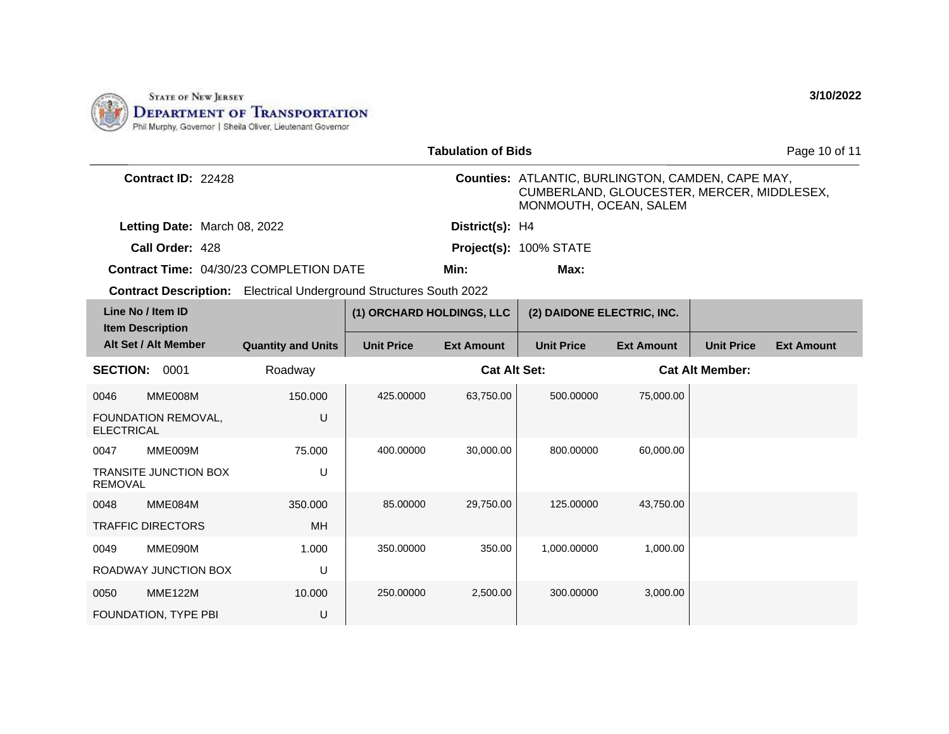

|                                                |                                                                           |                           | <b>Tabulation of Bids</b> |                                                                                                                           |                   |                        | Page 10 of 11     |
|------------------------------------------------|---------------------------------------------------------------------------|---------------------------|---------------------------|---------------------------------------------------------------------------------------------------------------------------|-------------------|------------------------|-------------------|
| Contract ID: 22428                             |                                                                           |                           |                           | Counties: ATLANTIC, BURLINGTON, CAMDEN, CAPE MAY,<br>CUMBERLAND, GLOUCESTER, MERCER, MIDDLESEX,<br>MONMOUTH, OCEAN, SALEM |                   |                        |                   |
| Letting Date: March 08, 2022                   |                                                                           |                           | District(s): H4           |                                                                                                                           |                   |                        |                   |
| Call Order: 428                                |                                                                           |                           |                           | Project(s): 100% STATE                                                                                                    |                   |                        |                   |
|                                                | Contract Time: 04/30/23 COMPLETION DATE                                   |                           | Min:                      | Max:                                                                                                                      |                   |                        |                   |
|                                                | <b>Contract Description:</b> Electrical Underground Structures South 2022 |                           |                           |                                                                                                                           |                   |                        |                   |
| Line No / Item ID<br><b>Item Description</b>   |                                                                           | (1) ORCHARD HOLDINGS, LLC |                           | (2) DAIDONE ELECTRIC, INC.                                                                                                |                   |                        |                   |
| Alt Set / Alt Member                           | <b>Quantity and Units</b>                                                 | <b>Unit Price</b>         | <b>Ext Amount</b>         | <b>Unit Price</b>                                                                                                         | <b>Ext Amount</b> | <b>Unit Price</b>      | <b>Ext Amount</b> |
| SECTION: 0001                                  | Roadway                                                                   |                           | <b>Cat Alt Set:</b>       |                                                                                                                           |                   | <b>Cat Alt Member:</b> |                   |
| MME008M<br>0046                                | 150.000                                                                   | 425.00000                 | 63,750.00                 | 500.00000                                                                                                                 | 75,000.00         |                        |                   |
| FOUNDATION REMOVAL,<br><b>ELECTRICAL</b>       | U                                                                         |                           |                           |                                                                                                                           |                   |                        |                   |
| MME009M<br>0047                                | 75.000                                                                    | 400.00000                 | 30,000.00                 | 800.00000                                                                                                                 | 60.000.00         |                        |                   |
| <b>TRANSITE JUNCTION BOX</b><br><b>REMOVAL</b> | U                                                                         |                           |                           |                                                                                                                           |                   |                        |                   |
| 0048<br>MME084M                                | 350.000                                                                   | 85.00000                  | 29,750.00                 | 125.00000                                                                                                                 | 43.750.00         |                        |                   |
| <b>TRAFFIC DIRECTORS</b>                       | <b>MH</b>                                                                 |                           |                           |                                                                                                                           |                   |                        |                   |
| 0049<br>MME090M                                | 1.000                                                                     | 350.00000                 | 350.00                    | 1,000.00000                                                                                                               | 1,000.00          |                        |                   |
| ROADWAY JUNCTION BOX                           | U                                                                         |                           |                           |                                                                                                                           |                   |                        |                   |
| <b>MME122M</b><br>0050                         | 10.000                                                                    | 250.00000                 | 2,500.00                  | 300.00000                                                                                                                 | 3,000.00          |                        |                   |
| FOUNDATION, TYPE PBI                           | U                                                                         |                           |                           |                                                                                                                           |                   |                        |                   |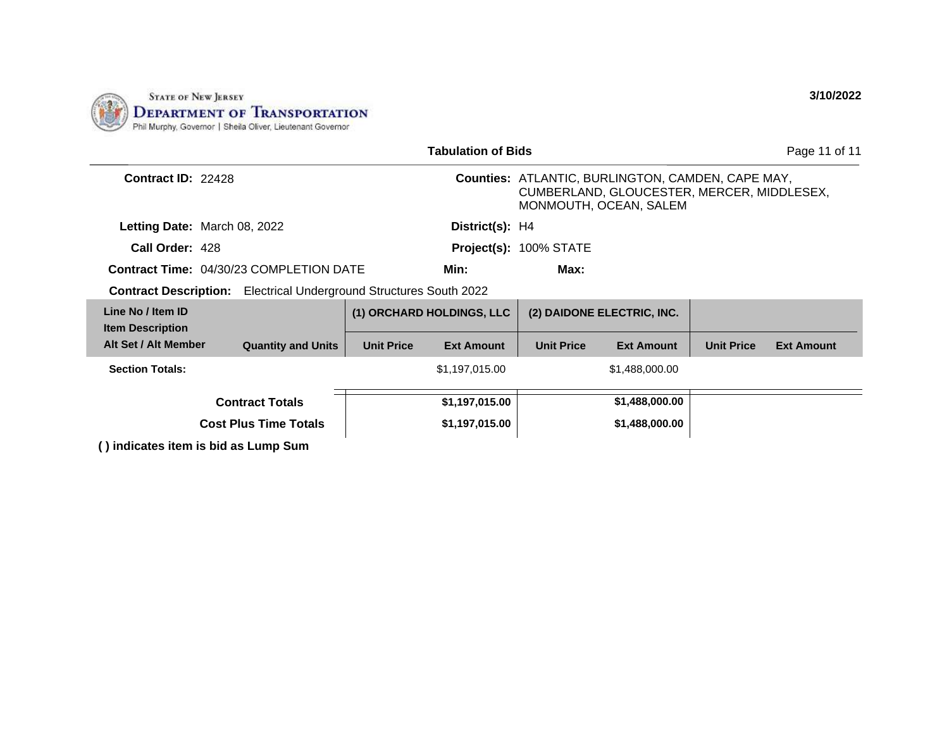

|                                              |  |                                                                           |                   | <b>Tabulation of Bids</b> |                        |                                                                                                                                  |                   | Page 11 of 11     |
|----------------------------------------------|--|---------------------------------------------------------------------------|-------------------|---------------------------|------------------------|----------------------------------------------------------------------------------------------------------------------------------|-------------------|-------------------|
| <b>Contract ID: 22428</b>                    |  |                                                                           |                   |                           |                        | <b>Counties: ATLANTIC, BURLINGTON, CAMDEN, CAPE MAY,</b><br>CUMBERLAND, GLOUCESTER, MERCER, MIDDLESEX,<br>MONMOUTH, OCEAN, SALEM |                   |                   |
| Letting Date: March 08, 2022                 |  |                                                                           |                   | District(s): H4           |                        |                                                                                                                                  |                   |                   |
| Call Order: 428                              |  |                                                                           |                   |                           | Project(s): 100% STATE |                                                                                                                                  |                   |                   |
|                                              |  | <b>Contract Time: 04/30/23 COMPLETION DATE</b>                            |                   | Min:                      | Max:                   |                                                                                                                                  |                   |                   |
|                                              |  | <b>Contract Description:</b> Electrical Underground Structures South 2022 |                   |                           |                        |                                                                                                                                  |                   |                   |
| Line No / Item ID<br><b>Item Description</b> |  |                                                                           |                   | (1) ORCHARD HOLDINGS, LLC |                        | (2) DAIDONE ELECTRIC, INC.                                                                                                       |                   |                   |
| Alt Set / Alt Member                         |  | <b>Quantity and Units</b>                                                 | <b>Unit Price</b> | <b>Ext Amount</b>         | <b>Unit Price</b>      | <b>Ext Amount</b>                                                                                                                | <b>Unit Price</b> | <b>Ext Amount</b> |
| <b>Section Totals:</b>                       |  |                                                                           |                   | \$1,197,015.00            |                        | \$1,488,000.00                                                                                                                   |                   |                   |
|                                              |  | <b>Contract Totals</b>                                                    |                   | \$1,197,015.00            |                        | \$1,488,000.00                                                                                                                   |                   |                   |
|                                              |  | <b>Cost Plus Time Totals</b>                                              |                   | \$1,197,015.00            |                        | \$1,488,000.00                                                                                                                   |                   |                   |
| ( ) indicates item is bid as Lump Sum        |  |                                                                           |                   |                           |                        |                                                                                                                                  |                   |                   |